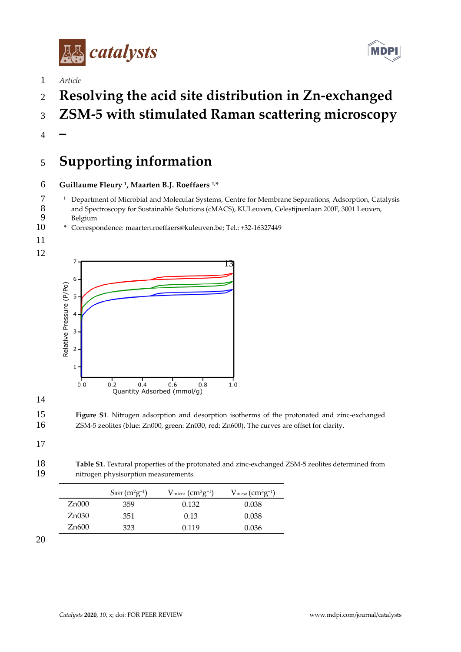



- *Article*
- **Resolving the acid site distribution in Zn-exchanged**
- **ZSM-5 with stimulated Raman scattering microscopy**
- **–**

## **Supporting information**

## **Guillaume Fleury <sup>1</sup> , Maarten B.J. Roeffaers 1, \***

- <sup>1</sup> Department of Microbial and Molecular Systems, Centre for Membrane Separations, Adsorption, Catalysis<br>8 and Spectroscopy for Sustainable Solutions (cMACS). KULeuven. Celestiinenlaan 200F. 3001 Leuven. 8 and Spectroscopy for Sustainable Solutions (cMACS), KULeuven, Celestijnenlaan 200F, 3001 Leuven, 9
- 9 Belgium<br>10 \* Correspo **\*** Correspondence: maarten.roeffaers@kuleuven.be; Tel.: +32-16327449
- 







 **Figure S1**. Nitrogen adsorption and desorption isotherms of the protonated and zinc-exchanged ZSM-5 zeolites (blue: Zn000, green: Zn030, red: Zn600). The curves are offset for clarity.

## 

 **Table S1.** Textural properties of the protonated and zinc-exchanged ZSM-5 zeolites determined from nitrogen physisorption measurements.

|       | $S_{\text{BET}}(m^2g^{-1})$ | $V_{\rm micro}$ ( $\rm cm^{3}g^{-1}$ ) | $V_{\text{meso}}(\text{cm}^3\text{g}^{-1})$ |
|-------|-----------------------------|----------------------------------------|---------------------------------------------|
| Zn000 | 359                         | 0.132                                  | 0.038                                       |
| Zn030 | 351                         | 0.13                                   | 0.038                                       |
| Zn600 | 323                         | 0.119                                  | 0.036                                       |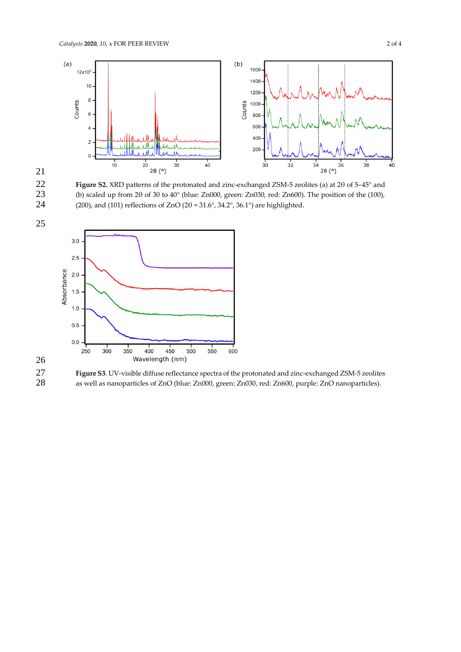



22 **Figure S2.** XRD patterns of the protonated and zinc-exchanged ZSM-5 zeolites (a) at 2θ of 5–45° and 23 (b) scaled up from 2 $\theta$  of 30 to  $40^{\circ}$  (blue: Zn000, green: Zn030, red: Zn600). The position of the (100), 24 (200), and (101) reflections of ZnO (2 $\theta$  = 31.6°, 34.2°, 36.1°) are highlighted. (200), and (101) reflections of ZnO (2 $\theta$  = 31.6°, 34.2°, 36.1°) are highlighted.





27 **Figure S3**. UV-visible diffuse reflectance spectra of the protonated and zinc-exchanged ZSM-5 zeolites 28 as well as nanoparticles of ZnO (blue: Zn000, green: Zn030, red: Zn600, purple: ZnO nanoparticles). as well as nanoparticles of ZnO (blue: Zn000, green: Zn030, red: Zn600, purple: ZnO nanoparticles).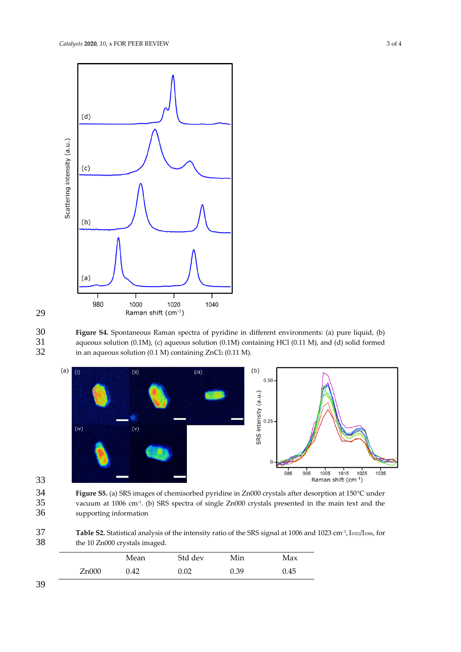



30 **Figure S4.** Spontaneous Raman spectra of pyridine in different environments: (a) pure liquid, (b) 31 aqueous solution (0.1M), (c) aqueous solution (0.1M) containing HCl (0.11 M), and (d) solid formed<br>32 in an aqueous solution (0.1 M) containing ZnCl<sub>2</sub> (0.11 M). in an aqueous solution (0.1 M) containing ZnCl2 (0.11 M).





34 **Figure S5.** (a) SRS images of chemisorbed pyridine in Zn000 crystals after desorption at 150°C under 35 vacuum at 1006 cm<sup>-1</sup>. (b) SRS spectra of single Zn000 crystals presented in the main text and the supporting information supporting information

**Table S2.** Statistical analysis of the intensity ratio of the SRS signal at 1006 and 1023 cm<sup>-1</sup>, I<sub>1023</sub>/I<sub>1006</sub>, for the 10 Zn000 crystals imaged. the 10 Zn000 crystals imaged.

|       | Mean | Std dev | Min  | Max  |
|-------|------|---------|------|------|
| Zn000 | 0.42 | 0.02    | 0.39 | 0.45 |

39